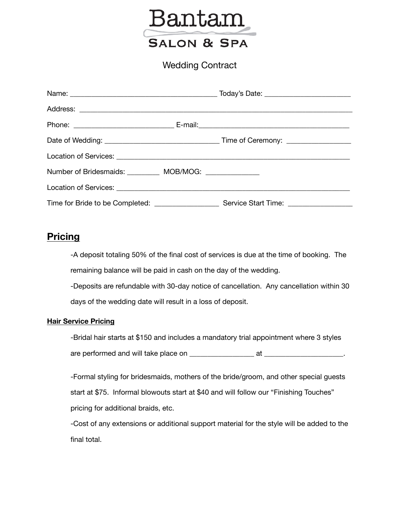

Wedding Contract

| Number of Bridesmaids: ___________ MOB/MOG: _______________ |  |
|-------------------------------------------------------------|--|
|                                                             |  |
|                                                             |  |

## **Pricing**

-A deposit totaling 50% of the final cost of services is due at the time of booking. The remaining balance will be paid in cash on the day of the wedding.

-Deposits are refundable with 30-day notice of cancellation. Any cancellation within 30 days of the wedding date will result in a loss of deposit.

#### **Hair Service Pricing**

-Bridal hair starts at \$150 and includes a mandatory trial appointment where 3 styles are performed and will take place on \_\_\_\_\_\_\_\_\_\_\_\_\_\_\_\_\_\_ at \_\_\_\_\_\_\_\_\_\_\_\_\_\_\_\_\_\_\_\_\_\_.

-Formal styling for bridesmaids, mothers of the bride/groom, and other special guests start at \$75. Informal blowouts start at \$40 and will follow our "Finishing Touches" pricing for additional braids, etc.

-Cost of any extensions or additional support material for the style will be added to the final total.